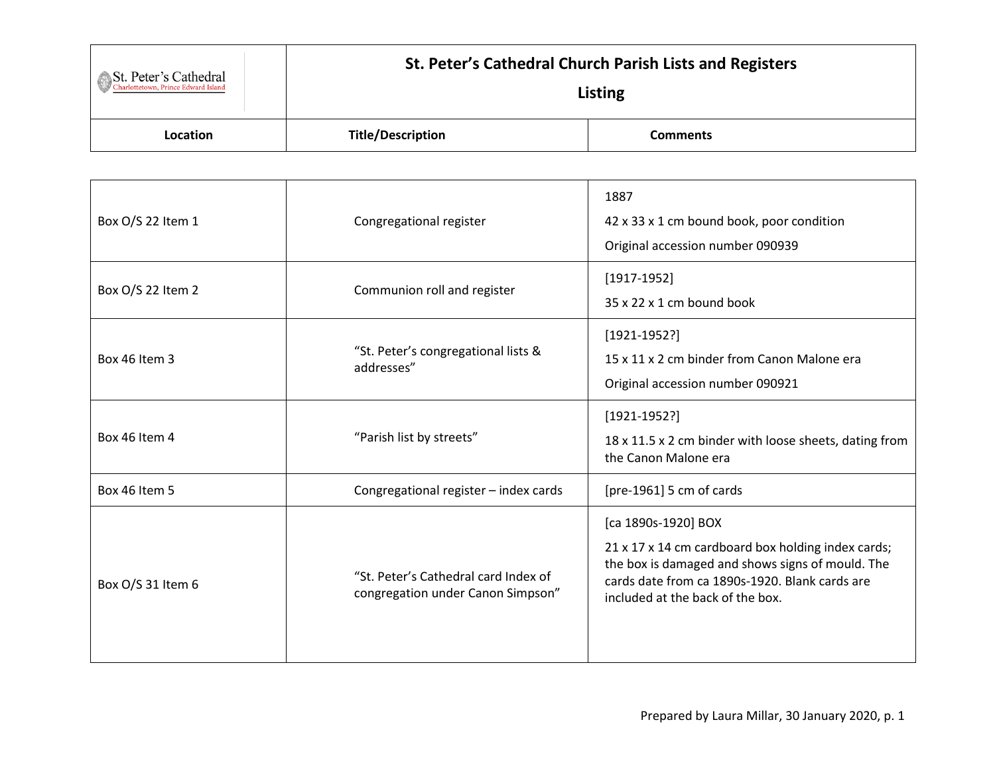| St. Peter's Cathedral<br>Charlottetown, Prince Edward Island | St. Peter's Cathedral Church Parish Lists and Registers<br>Listing |                 |
|--------------------------------------------------------------|--------------------------------------------------------------------|-----------------|
| Location                                                     | <b>Title/Description</b>                                           | <b>Comments</b> |

| Box O/S 22 Item 1    | Congregational register                                                   | 1887<br>42 x 33 x 1 cm bound book, poor condition<br>Original accession number 090939                                                                                                                               |
|----------------------|---------------------------------------------------------------------------|---------------------------------------------------------------------------------------------------------------------------------------------------------------------------------------------------------------------|
| Box O/S 22 Item 2    | Communion roll and register                                               | $[1917-1952]$<br>35 x 22 x 1 cm bound book                                                                                                                                                                          |
| <b>Box 46 Item 3</b> | "St. Peter's congregational lists &<br>addresses"                         | $[1921-1952?]$<br>15 x 11 x 2 cm binder from Canon Malone era<br>Original accession number 090921                                                                                                                   |
| Box 46 Item 4        | "Parish list by streets"                                                  | $[1921 - 1952?]$<br>18 x 11.5 x 2 cm binder with loose sheets, dating from<br>the Canon Malone era                                                                                                                  |
| Box 46 Item 5        | Congregational register - index cards                                     | [pre-1961] 5 cm of cards                                                                                                                                                                                            |
| Box O/S 31 Item 6    | "St. Peter's Cathedral card Index of<br>congregation under Canon Simpson" | [ca 1890s-1920] BOX<br>21 x 17 x 14 cm cardboard box holding index cards;<br>the box is damaged and shows signs of mould. The<br>cards date from ca 1890s-1920. Blank cards are<br>included at the back of the box. |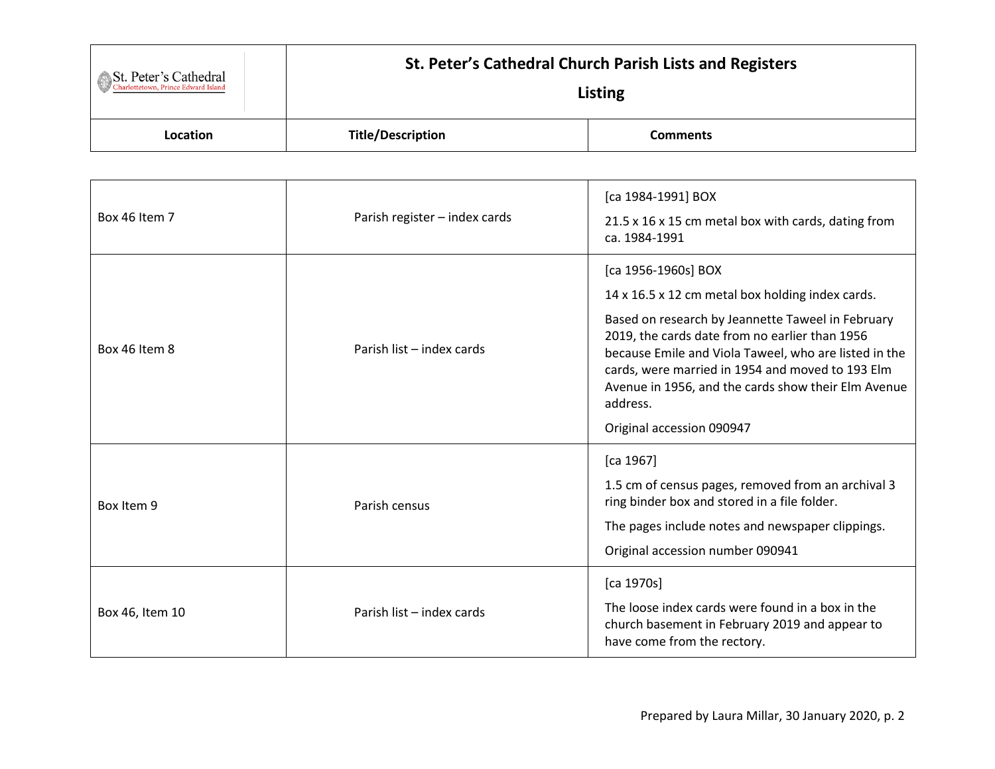| St. Peter's Cathedral | St. Peter's Cathedral Church Parish Lists and Registers<br>Listing |          |
|-----------------------|--------------------------------------------------------------------|----------|
| Location              | <b>Title/Description</b>                                           | Comments |

| Box 46 Item 7   | Parish register - index cards | [ca 1984-1991] BOX<br>21.5 x 16 x 15 cm metal box with cards, dating from<br>ca. 1984-1991                                                                                                                                                                                                                                                                                                  |
|-----------------|-------------------------------|---------------------------------------------------------------------------------------------------------------------------------------------------------------------------------------------------------------------------------------------------------------------------------------------------------------------------------------------------------------------------------------------|
| Box 46 Item 8   | Parish list - index cards     | [ca 1956-1960s] BOX<br>14 x 16.5 x 12 cm metal box holding index cards.<br>Based on research by Jeannette Taweel in February<br>2019, the cards date from no earlier than 1956<br>because Emile and Viola Taweel, who are listed in the<br>cards, were married in 1954 and moved to 193 Elm<br>Avenue in 1956, and the cards show their Elm Avenue<br>address.<br>Original accession 090947 |
| Box Item 9      | Parish census                 | [ca 1967]<br>1.5 cm of census pages, removed from an archival 3<br>ring binder box and stored in a file folder.<br>The pages include notes and newspaper clippings.<br>Original accession number 090941                                                                                                                                                                                     |
| Box 46, Item 10 | Parish list - index cards     | [ca 1970s]<br>The loose index cards were found in a box in the<br>church basement in February 2019 and appear to<br>have come from the rectory.                                                                                                                                                                                                                                             |